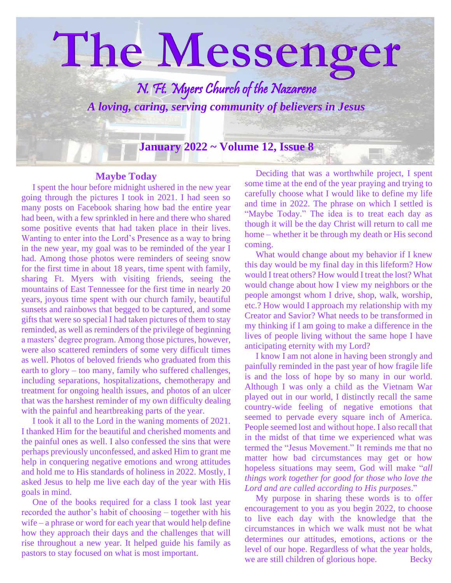

#### **Maybe Today**

 I spent the hour before midnight ushered in the new year going through the pictures I took in 2021. I had seen so many posts on Facebook sharing how bad the entire year had been, with a few sprinkled in here and there who shared some positive events that had taken place in their lives. Wanting to enter into the Lord's Presence as a way to bring in the new year, my goal was to be reminded of the year I had. Among those photos were reminders of seeing snow for the first time in about 18 years, time spent with family, sharing Ft. Myers with visiting friends, seeing the mountains of East Tennessee for the first time in nearly 20 years, joyous time spent with our church family, beautiful sunsets and rainbows that begged to be captured, and some gifts that were so special I had taken pictures of them to stay reminded, as well as reminders of the privilege of beginning a masters' degree program. Among those pictures, however, were also scattered reminders of some very difficult times as well. Photos of beloved friends who graduated from this earth to glory – too many, family who suffered challenges, including separations, hospitalizations, chemotherapy and treatment for ongoing health issues, and photos of an ulcer that was the harshest reminder of my own difficulty dealing with the painful and heartbreaking parts of the year.

 I took it all to the Lord in the waning moments of 2021. I thanked Him for the beautiful and cherished moments and the painful ones as well. I also confessed the sins that were perhaps previously unconfessed, and asked Him to grant me help in conquering negative emotions and wrong attitudes and hold me to His standards of holiness in 2022. Mostly, I asked Jesus to help me live each day of the year with His goals in mind.

 One of the books required for a class I took last year recorded the author's habit of choosing – together with his wife – a phrase or word for each year that would help define how they approach their days and the challenges that will rise throughout a new year. It helped guide his family as pastors to stay focused on what is most important.

 Deciding that was a worthwhile project, I spent some time at the end of the year praying and trying to carefully choose what I would like to define my life and time in 2022. The phrase on which I settled is "Maybe Today." The idea is to treat each day as though it will be the day Christ will return to call me home – whether it be through my death or His second coming.

 What would change about my behavior if I knew this day would be my final day in this lifeform? How would I treat others? How would I treat the lost? What would change about how I view my neighbors or the people amongst whom I drive, shop, walk, worship, etc.? How would I approach my relationship with my Creator and Savior? What needs to be transformed in my thinking if I am going to make a difference in the lives of people living without the same hope I have anticipating eternity with my Lord?

 I know I am not alone in having been strongly and painfully reminded in the past year of how fragile life is and the loss of hope by so many in our world. Although I was only a child as the Vietnam War played out in our world, I distinctly recall the same country-wide feeling of negative emotions that seemed to pervade every square inch of America. People seemed lost and without hope. I also recall that in the midst of that time we experienced what was termed the "Jesus Movement." It reminds me that no matter how bad circumstances may get or how hopeless situations may seem, God will make "*all things work together for good for those who love the Lord and are called according to His purposes*."

 My purpose in sharing these words is to offer encouragement to you as you begin 2022, to choose to live each day with the knowledge that the circumstances in which we walk must not be what determines our attitudes, emotions, actions or the level of our hope. Regardless of what the year holds, we are still children of glorious hope. Becky